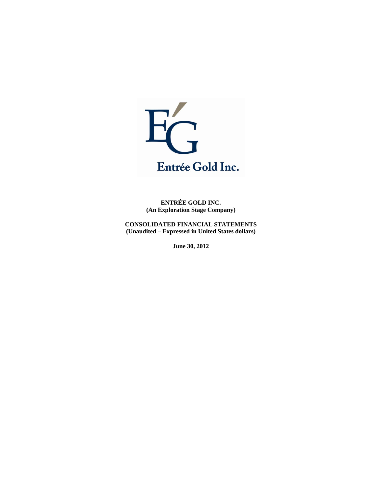

**ENTRÉE GOLD INC. (An Exploration Stage Company)** 

**CONSOLIDATED FINANCIAL STATEMENTS (Unaudited – Expressed in United States dollars)** 

**June 30, 2012**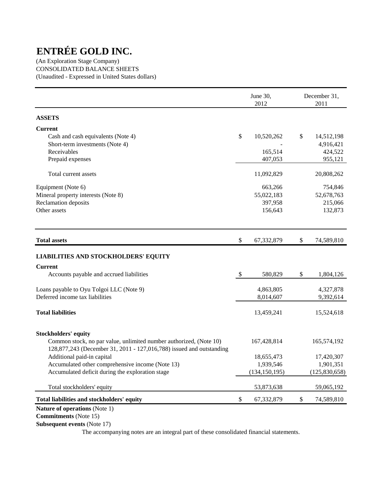(An Exploration Stage Company) CONSOLIDATED BALANCE SHEETS (Unaudited - Expressed in United States dollars)

|                                                                                                                                            |                           | June 30,<br>2012 | December 31,<br>2011 |  |
|--------------------------------------------------------------------------------------------------------------------------------------------|---------------------------|------------------|----------------------|--|
| <b>ASSETS</b>                                                                                                                              |                           |                  |                      |  |
| <b>Current</b>                                                                                                                             |                           |                  |                      |  |
| Cash and cash equivalents (Note 4)                                                                                                         | \$                        | 10,520,262       | \$<br>14,512,198     |  |
| Short-term investments (Note 4)                                                                                                            |                           |                  | 4,916,421            |  |
| Receivables                                                                                                                                |                           | 165,514          | 424,522              |  |
| Prepaid expenses                                                                                                                           |                           | 407,053          | 955,121              |  |
| Total current assets                                                                                                                       |                           | 11,092,829       | 20,808,262           |  |
| Equipment (Note 6)                                                                                                                         |                           | 663,266          | 754,846              |  |
| Mineral property interests (Note 8)                                                                                                        |                           | 55,022,183       | 52,678,763           |  |
| Reclamation deposits                                                                                                                       |                           | 397,958          | 215,066              |  |
| Other assets                                                                                                                               |                           | 156,643          | 132,873              |  |
| <b>Total assets</b>                                                                                                                        | \$                        | 67,332,879       | \$<br>74,589,810     |  |
| <b>LIABILITIES AND STOCKHOLDERS' EQUITY</b>                                                                                                |                           |                  |                      |  |
| <b>Current</b>                                                                                                                             |                           |                  |                      |  |
| Accounts payable and accrued liabilities                                                                                                   | $\boldsymbol{\mathsf{S}}$ | 580,829          | \$<br>1,804,126      |  |
| Loans payable to Oyu Tolgoi LLC (Note 9)                                                                                                   |                           | 4,863,805        | 4,327,878            |  |
| Deferred income tax liabilities                                                                                                            |                           | 8,014,607        | 9,392,614            |  |
| <b>Total liabilities</b>                                                                                                                   |                           | 13,459,241       | 15,524,618           |  |
| <b>Stockholders' equity</b>                                                                                                                |                           |                  |                      |  |
| Common stock, no par value, unlimited number authorized, (Note 10)<br>128,877,243 (December 31, 2011 - 127,016,788) issued and outstanding |                           | 167,428,814      | 165,574,192          |  |
| Additional paid-in capital                                                                                                                 |                           | 18,655,473       | 17,420,307           |  |
| Accumulated other comprehensive income (Note 13)                                                                                           |                           | 1,939,546        | 1,901,351            |  |
| Accumulated deficit during the exploration stage                                                                                           |                           | (134, 150, 195)  | (125, 830, 658)      |  |
| Total stockholders' equity                                                                                                                 |                           | 53,873,638       | 59,065,192           |  |
| Total liabilities and stockholders' equity                                                                                                 | \$                        | 67,332,879       | \$<br>74,589,810     |  |
| <b>Nature of operations (Note 1)</b>                                                                                                       |                           |                  |                      |  |

 **Commitments** (Note 15)

 **Subsequent events** (Note 17)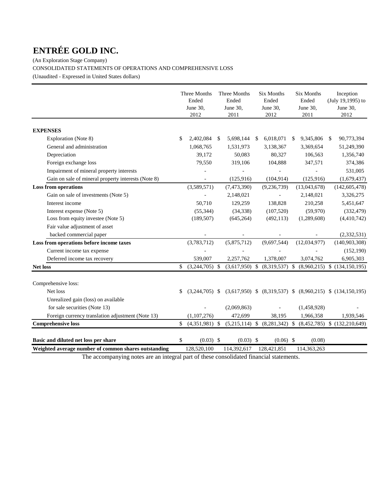(An Exploration Stage Company) CONSOLIDATED STATEMENTS OF OPERATIONS AND COMPREHENSIVE LOSS (Unaudited - Expressed in United States dollars)

|                                                      | Three Months<br>Ended<br>June 30,<br>2012 |    | Three Months<br>Ended<br>June 30,<br>2011 |    | <b>Six Months</b><br>Ended<br>June 30,<br>2012 | Six Months<br>Ended<br>June 30,<br>2011 |              |    | Inception<br>(July 19,1995) to<br>June 30,<br>2012                 |
|------------------------------------------------------|-------------------------------------------|----|-------------------------------------------|----|------------------------------------------------|-----------------------------------------|--------------|----|--------------------------------------------------------------------|
| <b>EXPENSES</b>                                      |                                           |    |                                           |    |                                                |                                         |              |    |                                                                    |
| Exploration (Note 8)                                 | \$<br>2,402,084                           | -S | 5,698,144                                 | S. | 6,018,071                                      | <sup>S</sup>                            | 9,345,806    | -S | 90,773,394                                                         |
| General and administration                           | 1,068,765                                 |    | 1,531,973                                 |    | 3,138,367                                      |                                         | 3,369,654    |    | 51,249,390                                                         |
| Depreciation                                         | 39,172                                    |    | 50,083                                    |    | 80,327                                         |                                         | 106,563      |    | 1,356,740                                                          |
| Foreign exchange loss                                | 79,550                                    |    | 319,106                                   |    | 104,888                                        |                                         | 347,571      |    | 374,386                                                            |
| Impairment of mineral property interests             |                                           |    |                                           |    |                                                |                                         |              |    | 531,005                                                            |
| Gain on sale of mineral property interests (Note 8)  |                                           |    | (125, 916)                                |    | (104, 914)                                     |                                         | (125, 916)   |    | (1,679,437)                                                        |
| <b>Loss from operations</b>                          | (3,589,571)                               |    | (7,473,390)                               |    | (9, 236, 739)                                  |                                         | (13,043,678) |    | (142, 605, 478)                                                    |
| Gain on sale of investments (Note 5)                 | ÷,                                        |    | 2,148,021                                 |    | $\overline{\phantom{a}}$                       |                                         | 2,148,021    |    | 3,326,275                                                          |
| Interest income                                      | 50,710                                    |    | 129,259                                   |    | 138,828                                        |                                         | 210,258      |    | 5,451,647                                                          |
| Interest expense (Note 5)                            | (55, 344)                                 |    | (34, 338)                                 |    | (107, 520)                                     |                                         | (59, 970)    |    | (332, 479)                                                         |
| Loss from equity investee (Note 5)                   | (189, 507)                                |    | (645, 264)                                |    | (492, 113)                                     |                                         | (1,289,608)  |    | (4,410,742)                                                        |
| Fair value adjustment of asset                       |                                           |    |                                           |    |                                                |                                         |              |    |                                                                    |
| backed commercial paper                              |                                           |    |                                           |    |                                                |                                         |              |    | (2, 332, 531)                                                      |
| Loss from operations before income taxes             | (3,783,712)                               |    | (5,875,712)                               |    | (9,697,544)                                    |                                         | (12,034,977) |    | (140, 903, 308)                                                    |
| Current income tax expense                           |                                           |    |                                           |    |                                                |                                         |              |    | (152, 190)                                                         |
| Deferred income tax recovery                         | 539,007                                   |    | 2,257,762                                 |    | 1,378,007                                      |                                         | 3,074,762    |    | 6,905,303                                                          |
| <b>Net loss</b>                                      | \$<br>$(3,244,705)$ \$                    |    |                                           |    |                                                |                                         |              |    | $(3,617,950)$ \$ $(8,319,537)$ \$ $(8,960,215)$ \$ $(134,150,195)$ |
| Comprehensive loss:                                  |                                           |    |                                           |    |                                                |                                         |              |    |                                                                    |
| Net loss                                             | \$<br>$(3,244,705)$ \$                    |    |                                           |    |                                                |                                         |              |    | $(3,617,950)$ \$ $(8,319,537)$ \$ $(8,960,215)$ \$ $(134,150,195)$ |
| Unrealized gain (loss) on available                  |                                           |    |                                           |    |                                                |                                         |              |    |                                                                    |
| for sale securities (Note 13)                        |                                           |    | (2,069,863)                               |    |                                                |                                         | (1,458,928)  |    |                                                                    |
| Foreign currency translation adjustment (Note 13)    | (1, 107, 276)                             |    | 472,699                                   |    | 38,195                                         |                                         | 1,966,358    |    | 1,939,546                                                          |
| <b>Comprehensive loss</b>                            | \$<br>$(4,351,981)$ \$                    |    |                                           |    |                                                |                                         |              |    | $(5,215,114)$ \$ $(8,281,342)$ \$ $(8,452,785)$ \$ $(132,210,649)$ |
| Basic and diluted net loss per share                 | \$<br>$(0.03)$ \$                         |    | $(0.03)$ \$                               |    | $(0.06)$ \$                                    |                                         | (0.08)       |    |                                                                    |
| Weighted average number of common shares outstanding | 128,520,100                               |    | 114.392.617                               |    | 128.421.851                                    |                                         | 114,363,263  |    |                                                                    |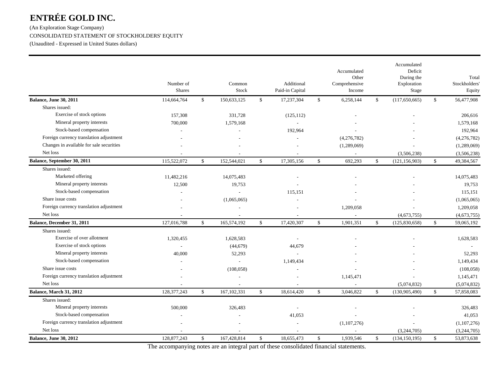(An Exploration Stage Company) CONSOLIDATED STATEMENT OF STOCKHOLDERS' EQUITY

(Unaudited - Expressed in United States dollars)

|                                          | Number of<br><b>Shares</b> |              | Common<br>Stock          |              | Additional<br>Paid-in Capital | Accumulated<br>Other<br>Comprehensive<br>Income |              | Accumulated<br>Deficit<br>During the<br>Exploration<br>Stage |              | Total<br>Stockholders'<br>Equity |
|------------------------------------------|----------------------------|--------------|--------------------------|--------------|-------------------------------|-------------------------------------------------|--------------|--------------------------------------------------------------|--------------|----------------------------------|
| Balance, June 30, 2011                   | 114,664,764                | $\mathbb{S}$ | 150,633,125              | \$           | 17,237,304                    | \$<br>6,258,144                                 | \$           | (117,650,665)                                                | $\mathbb{S}$ | 56,477,908                       |
| Shares issued:                           |                            |              |                          |              |                               |                                                 |              |                                                              |              |                                  |
| Exercise of stock options                | 157,308                    |              | 331,728                  |              | (125, 112)                    |                                                 |              |                                                              |              | 206,616                          |
| Mineral property interests               | 700,000                    |              | 1,579,168                |              | $\overline{\phantom{a}}$      |                                                 |              |                                                              |              | 1,579,168                        |
| Stock-based compensation                 |                            |              |                          |              | 192,964                       |                                                 |              |                                                              |              | 192,964                          |
| Foreign currency translation adjustment  |                            |              |                          |              |                               | (4,276,782)                                     |              |                                                              |              | (4,276,782)                      |
| Changes in available for sale securities |                            |              |                          |              |                               | (1,289,069)                                     |              |                                                              |              | (1,289,069)                      |
| Net loss                                 |                            |              |                          |              |                               | $\sim$                                          |              | (3,506,238)                                                  |              | (3,506,238)                      |
| Balance, September 30, 2011              | 115,522,072                | $\mathbb{S}$ | 152,544,021              | $\mathbf S$  | 17,305,156                    | \$<br>692,293                                   | $\mathbb{S}$ | (121, 156, 903)                                              | $\mathbf{s}$ | 49,384,567                       |
| Shares issued:                           |                            |              |                          |              |                               |                                                 |              |                                                              |              |                                  |
| Marketed offering                        | 11,482,216                 |              | 14,075,483               |              |                               |                                                 |              |                                                              |              | 14,075,483                       |
| Mineral property interests               | 12,500                     |              | 19,753                   |              |                               |                                                 |              |                                                              |              | 19,753                           |
| Stock-based compensation                 |                            |              |                          |              | 115,151                       |                                                 |              |                                                              |              | 115,151                          |
| Share issue costs                        |                            |              | (1,065,065)              |              |                               |                                                 |              |                                                              |              | (1,065,065)                      |
| Foreign currency translation adjustment  |                            |              |                          |              |                               | 1,209,058                                       |              |                                                              |              | 1,209,058                        |
| Net loss                                 |                            |              |                          |              |                               |                                                 |              | (4,673,755)                                                  |              | (4,673,755)                      |
| <b>Balance, December 31, 2011</b>        | 127,016,788                | $\mathbb{S}$ | 165,574,192              | $\mathbb{S}$ | 17,420,307                    | \$<br>1,901,351                                 | \$           | (125, 830, 658)                                              | \$           | 59,065,192                       |
| Shares issued:                           |                            |              |                          |              |                               |                                                 |              |                                                              |              |                                  |
| Exercise of over allotment               | 1,320,455                  |              | 1,628,583                |              |                               |                                                 |              |                                                              |              | 1,628,583                        |
| Exercise of stock options                |                            |              | (44, 679)                |              | 44,679                        |                                                 |              |                                                              |              |                                  |
| Mineral property interests               | 40,000                     |              | 52,293                   |              |                               |                                                 |              |                                                              |              | 52,293                           |
| Stock-based compensation                 |                            |              | $\overline{\phantom{a}}$ |              | 1,149,434                     |                                                 |              |                                                              |              | 1,149,434                        |
| Share issue costs                        |                            |              | (108, 058)               |              |                               |                                                 |              |                                                              |              | (108, 058)                       |
| Foreign currency translation adjustment  |                            |              | $\overline{\phantom{a}}$ |              |                               | 1,145,471                                       |              |                                                              |              | 1,145,471                        |
| Net loss                                 |                            |              |                          |              |                               |                                                 |              | (5,074,832)                                                  |              | (5,074,832)                      |
| Balance, March 31, 2012                  | 128,377,243                | \$           | 167, 102, 331            | $\mathbb{S}$ | 18,614,420                    | \$<br>3,046,822                                 | \$           | (130,905,490)                                                | \$           | 57,858,083                       |
| Shares issued:                           |                            |              |                          |              |                               |                                                 |              |                                                              |              |                                  |
| Mineral property interests               | 500,000                    |              | 326,483                  |              |                               |                                                 |              |                                                              |              | 326,483                          |
| Stock-based compensation                 |                            |              |                          |              | 41,053                        |                                                 |              |                                                              |              | 41,053                           |
| Foreign currency translation adjustment  |                            |              |                          |              |                               | (1,107,276)                                     |              |                                                              |              | (1,107,276)                      |
| Net loss                                 |                            |              |                          |              |                               | $\sim$                                          |              | (3,244,705)                                                  |              | (3,244,705)                      |
| <b>Balance, June 30, 2012</b>            | 128,877,243                | \$           | 167,428,814              | \$           | 18,655,473                    | \$<br>1,939,546                                 | \$           | (134, 150, 195)                                              | \$           | 53,873,638                       |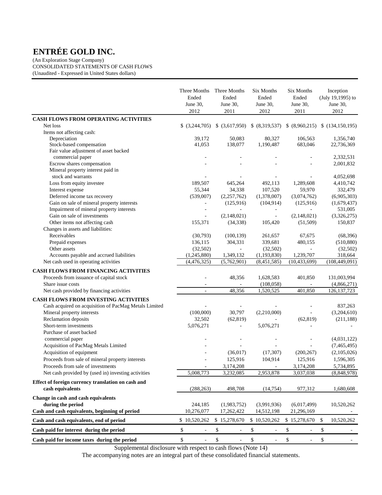(An Exploration Stage Company) CONSOLIDATED STATEMENTS OF CASH FLOWS (Unaudited - Expressed in United States dollars)

|                                                                        | Three Months<br>Ended<br>June 30,<br>2012 | Three Months<br>Ended<br>June 30,<br>2011 | Six Months<br>Ended<br>June 30,<br>2012 | Six Months<br>Ended<br>June 30,<br>2011 | Inception<br>(July 19,1995) to<br>June 30,<br>2012 |
|------------------------------------------------------------------------|-------------------------------------------|-------------------------------------------|-----------------------------------------|-----------------------------------------|----------------------------------------------------|
| <b>CASH FLOWS FROM OPERATING ACTIVITIES</b>                            |                                           |                                           |                                         |                                         |                                                    |
| Net loss                                                               | $$$ $(3,244,705)$                         | $$$ (3,617,950)                           |                                         |                                         | $$ (8,319,537) \$ (8,960,215) \$ (134,150,195)$    |
| Items not affecting cash:                                              |                                           |                                           |                                         |                                         |                                                    |
| Depreciation                                                           | 39,172                                    | 50,083                                    | 80,327                                  | 106,563                                 | 1,356,740                                          |
| Stock-based compensation                                               | 41,053                                    | 138,077                                   | 1,190,487                               | 683,046                                 | 22,736,369                                         |
| Fair value adjustment of asset backed                                  |                                           |                                           |                                         |                                         |                                                    |
| commercial paper                                                       |                                           |                                           |                                         |                                         | 2,332,531                                          |
| Escrow shares compensation                                             |                                           |                                           |                                         |                                         | 2,001,832                                          |
| Mineral property interest paid in<br>stock and warrants                |                                           |                                           |                                         |                                         |                                                    |
|                                                                        | 189,507                                   | 645,264                                   | 492,113                                 | 1,289,608                               | 4,052,698<br>4,410,742                             |
| Loss from equity investee                                              | 55,344                                    | 34,338                                    | 107,520                                 | 59,970                                  | 332,479                                            |
| Interest expense<br>Deferred income tax recovery                       | (539,007)                                 | (2,257,762)                               | (1,378,007)                             | (3,074,762)                             | (6,905,303)                                        |
| Gain on sale of mineral property interests                             |                                           | (125,916)                                 | (104, 914)                              | (125,916)                               | (1,679,437)                                        |
| Impairment of mineral property interests                               |                                           |                                           | $\overline{\phantom{a}}$                | $\bar{a}$                               | 531,005                                            |
| Gain on sale of investments                                            | $\sim$                                    | (2,148,021)                               | $\equiv$                                | (2,148,021)                             | (3,326,275)                                        |
| Other items not affecting cash                                         | 155,371                                   | (34, 338)                                 | 105,420                                 | (51,509)                                | 150,837                                            |
| Changes in assets and liabilities:                                     |                                           |                                           |                                         |                                         |                                                    |
| Receivables                                                            | (30,793)                                  | (100, 139)                                | 261,657                                 | 67,675                                  | (68, 396)                                          |
| Prepaid expenses                                                       | 136,115                                   | 304,331                                   | 339,681                                 | 480,155                                 | (510, 880)                                         |
| Other assets                                                           | (32,502)                                  |                                           | (32,502)                                | $\overline{\phantom{a}}$                | (32,502)                                           |
| Accounts payable and accrued liabilities                               | (1,245,880)                               | 1,349,132                                 | (1, 193, 830)                           | 1,239,707                               | 318,664                                            |
| Net cash used in operating activities                                  | (4,476,325)                               | (5,762,901)                               | (8,451,585)                             | (10, 433, 699)                          | (108, 449, 091)                                    |
| <b>CASH FLOWS FROM FINANCING ACTIVITIES</b>                            |                                           |                                           |                                         |                                         |                                                    |
| Proceeds from issuance of capital stock                                |                                           | 48,356                                    | 1,628,583                               | 401,850                                 | 131,003,994                                        |
| Share issue costs                                                      |                                           |                                           | (108, 058)                              | $\overline{\phantom{a}}$                | (4,866,271)                                        |
| Net cash provided by financing activities                              | $\bar{a}$                                 | 48,356                                    | 1,520,525                               | 401,850                                 | 126, 137, 723                                      |
|                                                                        |                                           |                                           |                                         |                                         |                                                    |
| CASH FLOWS FROM INVESTING ACTIVITIES                                   |                                           |                                           |                                         |                                         |                                                    |
| Cash acquired on acquisition of PacMag Metals Limited                  |                                           |                                           |                                         |                                         | 837,263                                            |
| Mineral property interests                                             | (100,000)                                 | 30,797                                    | (2,210,000)                             | $\overline{\phantom{a}}$                | (3,204,610)                                        |
| Reclamation deposits<br>Short-term investments                         | 32,502                                    | (62, 819)                                 |                                         | (62, 819)                               | (211, 188)                                         |
|                                                                        | 5,076,271                                 |                                           | 5,076,271                               |                                         |                                                    |
| Purchase of asset backed<br>commercial paper                           |                                           |                                           |                                         |                                         | (4,031,122)                                        |
| Acquisition of PacMag Metals Limited                                   |                                           |                                           |                                         |                                         | (7,465,495)                                        |
| Acquisition of equipment                                               |                                           | (36,017)                                  | (17, 307)                               | (200, 267)                              | (2,105,026)                                        |
| Proceeds from sale of mineral property interests                       |                                           | 125,916                                   | 104,914                                 | 125,916                                 | 1,596,305                                          |
| Proceeds from sale of investments                                      |                                           | 3,174,208                                 |                                         | 3,174,208                               |                                                    |
| Net cash provided by (used in) investing activities                    | 5,008,773                                 | 3,232,085                                 | 2,953,878                               | 3,037,038                               | 5,734,895<br>(8,848,978)                           |
|                                                                        |                                           |                                           |                                         |                                         |                                                    |
| Effect of foreign currency translation on cash and<br>cash equivalents | (288, 263)                                | 498,708                                   | (14, 754)                               | 977,312                                 | 1,680,608                                          |
| Change in cash and cash equivalents                                    |                                           |                                           |                                         |                                         |                                                    |
| during the period                                                      | 244,185                                   | (1,983,752)                               | (3,991,936)                             | (6,017,499)                             | 10,520,262                                         |
| Cash and cash equivalents, beginning of period                         | 10,276,077                                | 17,262,422                                | 14,512,198                              | 21,296,169                              |                                                    |
| Cash and cash equivalents, end of period                               | \$10,520,262                              | \$15,278,670                              | \$10,520,262                            | \$15,278,670                            | \$<br>10,520,262                                   |
| Cash paid for interest during the period                               | $\$$<br>ä,                                | \$                                        | \$<br>÷,                                | \$<br>$\sim$                            | \$                                                 |
| Cash paid for income taxes during the period                           | $\$$<br>$\overline{\phantom{a}}$          | \$<br>$\overline{\phantom{a}}$            | \$<br>$\overline{\phantom{a}}$          | \$<br>$\blacksquare$                    | \$<br>$\sim$                                       |

Supplemental disclosure with respect to cash flows (Note 14)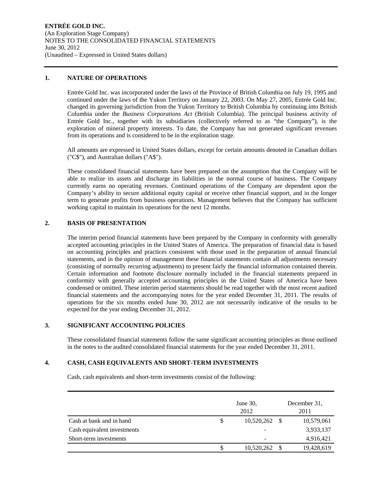### **1. NATURE OF OPERATIONS**

Entrée Gold Inc. was incorporated under the laws of the Province of British Columbia on July 19, 1995 and continued under the laws of the Yukon Territory on January 22, 2003. On May 27, 2005, Entrée Gold Inc. changed its governing jurisdiction from the Yukon Territory to British Columbia by continuing into British Columbia under the *Business Corporations Act* (British Columbia). The principal business activity of Entrée Gold Inc., together with its subsidiaries (collectively referred to as "the Company"), is the exploration of mineral property interests. To date, the Company has not generated significant revenues from its operations and is considered to be in the exploration stage.

All amounts are expressed in United States dollars, except for certain amounts denoted in Canadian dollars ("C\$"), and Australian dollars ("A\$").

These consolidated financial statements have been prepared on the assumption that the Company will be able to realize its assets and discharge its liabilities in the normal course of business. The Company currently earns no operating revenues. Continued operations of the Company are dependent upon the Company's ability to secure additional equity capital or receive other financial support, and in the longer term to generate profits from business operations. Management believes that the Company has sufficient working capital to maintain its operations for the next 12 months.

## **2. BASIS OF PRESENTATION**

The interim period financial statements have been prepared by the Company in conformity with generally accepted accounting principles in the United States of America. The preparation of financial data is based on accounting principles and practices consistent with those used in the preparation of annual financial statements, and in the opinion of management these financial statements contain all adjustments necessary (consisting of normally recurring adjustments) to present fairly the financial information contained therein. Certain information and footnote disclosure normally included in the financial statements prepared in conformity with generally accepted accounting principles in the United States of America have been condensed or omitted. These interim period statements should be read together with the most recent audited financial statements and the accompanying notes for the year ended December 31, 2011. The results of operations for the six months ended June 30, 2012 are not necessarily indicative of the results to be expected for the year ending December 31, 2012.

## **3. SIGNIFICANT ACCOUNTING POLICIES**

These consolidated financial statements follow the same significant accounting principles as those outlined in the notes to the audited consolidated financial statements for the year ended December 31, 2011.

#### **4. CASH, CASH EQUIVALENTS AND SHORT-TERM INVESTMENTS**

Cash, cash equivalents and short-term investments consist of the following:

|                             | June $30$ ,<br>2012 |    | December 31.<br>2011 |
|-----------------------------|---------------------|----|----------------------|
| Cash at bank and in hand    | 10,520,262          | -S | 10,579,061           |
| Cash equivalent investments |                     |    | 3,933,137            |
| Short-term investments      |                     |    | 4,916,421            |
|                             | 10,520,262          |    | 19,428,619           |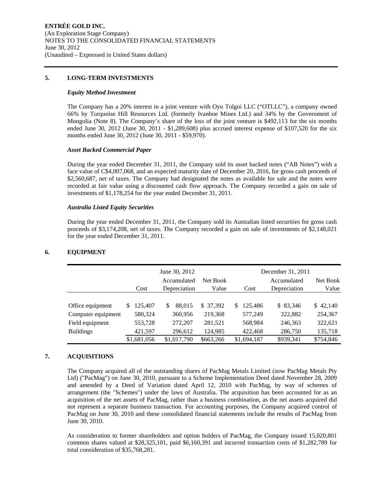#### **5. LONG-TERM INVESTMENTS**

#### *Equity Method Investment*

The Company has a 20% interest in a joint venture with Oyu Tolgoi LLC ("OTLLC"), a company owned 66% by Turquoise Hill Resources Ltd. (formerly Ivanhoe Mines Ltd.) and 34% by the Government of Mongolia (Note 8). The Company's share of the loss of the joint venture is \$492,113 for the six months ended June 30, 2012 (June 30, 2011 - \$1,289,608) plus accrued interest expense of \$107,520 for the six months ended June 30, 2012 (June 30, 2011 - \$59,970).

## *Asset Backed Commercial Paper*

During the year ended December 31, 2011, the Company sold its asset backed notes ("AB Notes") with a face value of C\$4,007,068, and an expected maturity date of December 20, 2016, for gross cash proceeds of \$2,560,687, net of taxes. The Company had designated the notes as available for sale and the notes were recorded at fair value using a discounted cash flow approach. The Company recorded a gain on sale of investments of \$1,178,254 for the year ended December 31, 2011.

#### *Australia Listed Equity Securities*

During the year ended December 31, 2011, the Company sold its Australian listed securities for gross cash proceeds of \$3,174,208, net of taxes. The Company recorded a gain on sale of investments of \$2,148,021 for the year ended December 31, 2011.

|                    |              | June 30, 2012               |                   | December 31, 2011 |                             |                   |
|--------------------|--------------|-----------------------------|-------------------|-------------------|-----------------------------|-------------------|
|                    | Cost         | Accumulated<br>Depreciation | Net Book<br>Value | Cost              | Accumulated<br>Depreciation | Net Book<br>Value |
|                    |              |                             |                   |                   |                             |                   |
| Office equipment   | 125,407<br>S | 88,015<br>S                 | \$ 37,392         | 125,486<br>S.     | \$ 83,346                   | \$42,140          |
| Computer equipment | 580,324      | 360,956                     | 219,368           | 577,249           | 322,882                     | 254,367           |
| Field equipment    | 553,728      | 272,207                     | 281,521           | 568,984           | 246,363                     | 322,621           |
| <b>Buildings</b>   | 421,597      | 296,612                     | 124,985           | 422,468           | 286,750                     | 135,718           |
|                    | \$1,681,056  | \$1,017,790                 | \$663,266         | \$1,694,187       | \$939,341                   | \$754,846         |

## **6. EQUIPMENT**

## **7. ACQUISITIONS**

The Company acquired all of the outstanding shares of PacMag Metals Limited (now PacMag Metals Pty Ltd) ("PacMag") on June 30, 2010, pursuant to a Scheme Implementation Deed dated November 28, 2009 and amended by a Deed of Variation dated April 12, 2010 with PacMag, by way of schemes of arrangement (the "Schemes") under the laws of Australia. The acquisition has been accounted for as an acquisition of the net assets of PacMag, rather than a business combination, as the net assets acquired did not represent a separate business transaction. For accounting purposes, the Company acquired control of PacMag on June 30, 2010 and these consolidated financial statements include the results of PacMag from June 30, 2010.

As consideration to former shareholders and option holders of PacMag, the Company issued 15,020,801 common shares valued at \$28,325,101, paid \$6,160,391 and incurred transaction costs of \$1,282,789 for total consideration of \$35,768,281.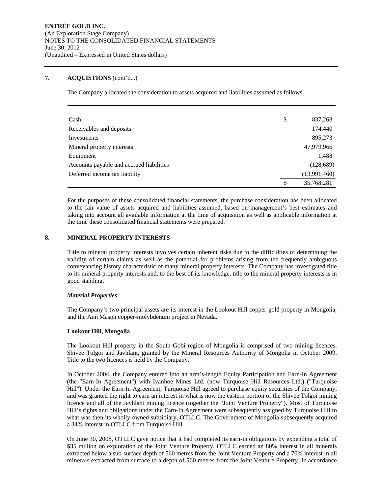## **7. ACQUISTIONS** (cont'd...)

The Company allocated the consideration to assets acquired and liabilities assumed as follows:

| Cash                                     | \$<br>837,263    |
|------------------------------------------|------------------|
| Receivables and deposits                 | 174,440          |
| Investments                              | 895,273          |
| Mineral property interests               | 47,979,966       |
| Equipment                                | 1,488            |
| Accounts payable and accrued liabilities | (128, 689)       |
| Deferred income tax liability            | (13,991,460)     |
|                                          | \$<br>35,768,281 |

For the purposes of these consolidated financial statements, the purchase consideration has been allocated to the fair value of assets acquired and liabilities assumed, based on management's best estimates and taking into account all available information at the time of acquisition as well as applicable information at the time these consolidated financial statements were prepared.

### **8. MINERAL PROPERTY INTERESTS**

Title to mineral property interests involves certain inherent risks due to the difficulties of determining the validity of certain claims as well as the potential for problems arising from the frequently ambiguous conveyancing history characteristic of many mineral property interests. The Company has investigated title to its mineral property interests and, to the best of its knowledge, title to the mineral property interests is in good standing.

#### *Material Properties*

The Company's two principal assets are its interest in the Lookout Hill copper-gold property in Mongolia, and the Ann Mason copper-molybdenum project in Nevada.

#### **Lookout Hill, Mongolia**

The Lookout Hill property in the South Gobi region of Mongolia is comprised of two mining licences, Shivee Tolgoi and Javhlant, granted by the Mineral Resources Authority of Mongolia in October 2009. Title to the two licences is held by the Company.

In October 2004, the Company entered into an arm's-length Equity Participation and Earn-In Agreement (the "Earn-In Agreement") with Ivanhoe Mines Ltd. (now Turquoise Hill Resources Ltd.) ("Turquoise Hill"). Under the Earn-In Agreement, Turquoise Hill agreed to purchase equity securities of the Company, and was granted the right to earn an interest in what is now the eastern portion of the Shivee Tolgoi mining licence and all of the Javhlant mining licence (together the "Joint Venture Property"). Most of Turquoise Hill's rights and obligations under the Earn-In Agreement were subsequently assigned by Turquoise Hill to what was then its wholly-owned subsidiary, OTLLC. The Government of Mongolia subsequently acquired a 34% interest in OTLLC from Turquoise Hill.

On June 30, 2008, OTLLC gave notice that it had completed its earn-in obligations by expending a total of \$35 million on exploration of the Joint Venture Property. OTLLC earned an 80% interest in all minerals extracted below a sub-surface depth of 560 metres from the Joint Venture Property and a 70% interest in all minerals extracted from surface to a depth of 560 metres from the Joint Venture Property. In accordance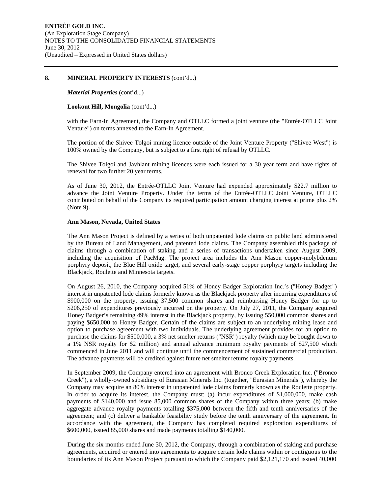#### **8. MINERAL PROPERTY INTERESTS** (cont'd...)

#### *Material Properties* (cont'd...)

#### **Lookout Hill, Mongolia** (cont'd...)

with the Earn-In Agreement, the Company and OTLLC formed a joint venture (the "Entrée-OTLLC Joint Venture") on terms annexed to the Earn-In Agreement.

The portion of the Shivee Tolgoi mining licence outside of the Joint Venture Property ("Shivee West") is 100% owned by the Company, but is subject to a first right of refusal by OTLLC.

The Shivee Tolgoi and Javhlant mining licences were each issued for a 30 year term and have rights of renewal for two further 20 year terms.

As of June 30, 2012, the Entrée-OTLLC Joint Venture had expended approximately \$22.7 million to advance the Joint Venture Property. Under the terms of the Entrée-OTLLC Joint Venture, OTLLC contributed on behalf of the Company its required participation amount charging interest at prime plus 2% (Note 9).

#### **Ann Mason, Nevada, United States**

The Ann Mason Project is defined by a series of both unpatented lode claims on public land administered by the Bureau of Land Management, and patented lode claims. The Company assembled this package of claims through a combination of staking and a series of transactions undertaken since August 2009, including the acquisition of PacMag. The project area includes the Ann Mason copper-molybdenum porphyry deposit, the Blue Hill oxide target, and several early-stage copper porphyry targets including the Blackjack, Roulette and Minnesota targets.

On August 26, 2010, the Company acquired 51% of Honey Badger Exploration Inc.'s ("Honey Badger") interest in unpatented lode claims formerly known as the Blackjack property after incurring expenditures of \$900,000 on the property, issuing 37,500 common shares and reimbursing Honey Badger for up to \$206,250 of expenditures previously incurred on the property. On July 27, 2011, the Company acquired Honey Badger's remaining 49% interest in the Blackjack property, by issuing 550,000 common shares and paying \$650,000 to Honey Badger. Certain of the claims are subject to an underlying mining lease and option to purchase agreement with two individuals. The underlying agreement provides for an option to purchase the claims for \$500,000, a 3% net smelter returns ("NSR") royalty (which may be bought down to a 1% NSR royalty for \$2 million) and annual advance minimum royalty payments of \$27,500 which commenced in June 2011 and will continue until the commencement of sustained commercial production. The advance payments will be credited against future net smelter returns royalty payments.

In September 2009, the Company entered into an agreement with Bronco Creek Exploration Inc. ("Bronco Creek"), a wholly-owned subsidiary of Eurasian Minerals Inc. (together, "Eurasian Minerals"), whereby the Company may acquire an 80% interest in unpatented lode claims formerly known as the Roulette property. In order to acquire its interest, the Company must: (a) incur expenditures of \$1,000,000, make cash payments of \$140,000 and issue 85,000 common shares of the Company within three years; (b) make aggregate advance royalty payments totalling \$375,000 between the fifth and tenth anniversaries of the agreement; and (c) deliver a bankable feasibility study before the tenth anniversary of the agreement. In accordance with the agreement, the Company has completed required exploration expenditures of \$600,000, issued 85,000 shares and made payments totalling \$140,000.

During the six months ended June 30, 2012, the Company, through a combination of staking and purchase agreements, acquired or entered into agreements to acquire certain lode claims within or contiguous to the boundaries of its Ann Mason Project pursuant to which the Company paid \$2,121,170 and issued 40,000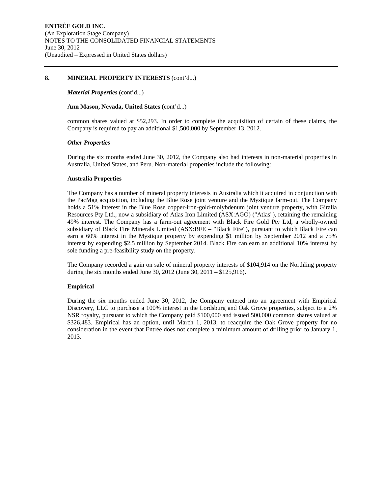#### **8. MINERAL PROPERTY INTERESTS** (cont'd...)

#### *Material Properties* (cont'd...)

#### **Ann Mason, Nevada, United States** (cont'd...)

common shares valued at \$52,293. In order to complete the acquisition of certain of these claims, the Company is required to pay an additional \$1,500,000 by September 13, 2012.

### *Other Properties*

During the six months ended June 30, 2012, the Company also had interests in non-material properties in Australia, United States, and Peru. Non-material properties include the following:

### **Australia Properties**

The Company has a number of mineral property interests in Australia which it acquired in conjunction with the PacMag acquisition, including the Blue Rose joint venture and the Mystique farm-out. The Company holds a 51% interest in the Blue Rose copper-iron-gold-molybdenum joint venture property, with Giralia Resources Pty Ltd., now a subsidiary of Atlas Iron Limited (ASX:AGO) ("Atlas"), retaining the remaining 49% interest. The Company has a farm-out agreement with Black Fire Gold Pty Ltd, a wholly-owned subsidiary of Black Fire Minerals Limited (ASX:BFE – "Black Fire"), pursuant to which Black Fire can earn a 60% interest in the Mystique property by expending \$1 million by September 2012 and a 75% interest by expending \$2.5 million by September 2014. Black Fire can earn an additional 10% interest by sole funding a pre-feasibility study on the property.

The Company recorded a gain on sale of mineral property interests of \$104,914 on the Northling property during the six months ended June 30, 2012 (June 30, 2011 – \$125,916).

## **Empirical**

During the six months ended June 30, 2012, the Company entered into an agreement with Empirical Discovery, LLC to purchase a 100% interest in the Lordsburg and Oak Grove properties, subject to a 2% NSR royalty, pursuant to which the Company paid \$100,000 and issued 500,000 common shares valued at \$326,483. Empirical has an option, until March 1, 2013, to reacquire the Oak Grove property for no consideration in the event that Entrée does not complete a minimum amount of drilling prior to January 1, 2013.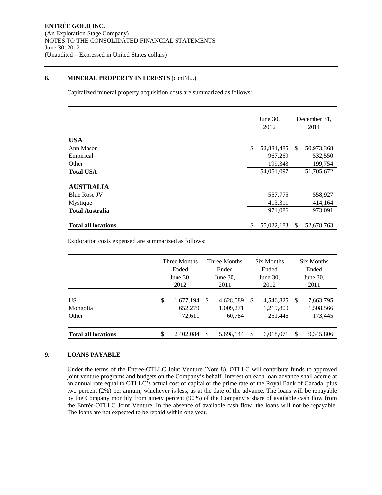## **8. MINERAL PROPERTY INTERESTS** (cont'd...)

Capitalized mineral property acquisition costs are summarized as follows:

|                            | June 30,<br>2012 |    | December 31.<br>2011 |
|----------------------------|------------------|----|----------------------|
| <b>USA</b>                 |                  |    |                      |
| Ann Mason                  | \$<br>52,884,485 | S. | 50,973,368           |
| Empirical                  | 967,269          |    | 532,550              |
| Other                      | 199,343          |    | 199,754              |
| <b>Total USA</b>           | 54,051,097       |    | 51,705,672           |
| <b>AUSTRALIA</b>           |                  |    |                      |
| <b>Blue Rose JV</b>        | 557,775          |    | 558,927              |
| Mystique                   | 413,311          |    | 414,164              |
| <b>Total Australia</b>     | 971,086          |    | 973,091              |
| <b>Total all locations</b> | \$<br>55,022,183 | \$ | 52,678,763           |

Exploration costs expensed are summarized as follows:

|                            | Three Months<br>Ended<br>June $30$ ,<br>2012 |                                |               | Three Months<br>Ended<br>June $30$ ,<br>2011      |   | <b>Six Months</b><br>Ended<br>June $30$ .<br>2012 | Six Months<br>Ended<br>June $30$ ,<br>2011 |                                   |  |
|----------------------------|----------------------------------------------|--------------------------------|---------------|---------------------------------------------------|---|---------------------------------------------------|--------------------------------------------|-----------------------------------|--|
| US<br>Mongolia<br>Other    | \$                                           | 1,677,194<br>652,279<br>72,611 |               | <sup>\$</sup><br>4,628,089<br>1,009,271<br>60,784 |   | 4,546,825<br>1,219,800<br>251.446                 | \$                                         | 7,663,795<br>1,508,566<br>173,445 |  |
| <b>Total all locations</b> | \$                                           | 2,402,084                      | <sup>\$</sup> | 5.698.144                                         | S | 6,018,071                                         | \$.                                        | 9,345,806                         |  |

## **9. LOANS PAYABLE**

Under the terms of the Entrée-OTLLC Joint Venture (Note 8), OTLLC will contribute funds to approved joint venture programs and budgets on the Company's behalf. Interest on each loan advance shall accrue at an annual rate equal to OTLLC's actual cost of capital or the prime rate of the Royal Bank of Canada, plus two percent (2%) per annum, whichever is less, as at the date of the advance. The loans will be repayable by the Company monthly from ninety percent (90%) of the Company's share of available cash flow from the Entrée-OTLLC Joint Venture. In the absence of available cash flow, the loans will not be repayable. The loans are not expected to be repaid within one year.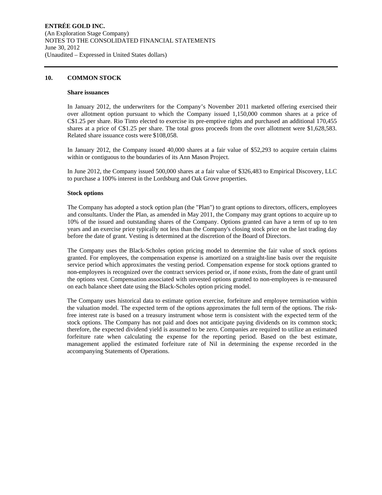## **10. COMMON STOCK**

#### **Share issuances**

In January 2012, the underwriters for the Company's November 2011 marketed offering exercised their over allotment option pursuant to which the Company issued 1,150,000 common shares at a price of C\$1.25 per share. Rio Tinto elected to exercise its pre-emptive rights and purchased an additional 170,455 shares at a price of C\$1.25 per share. The total gross proceeds from the over allotment were \$1,628,583. Related share issuance costs were \$108,058.

In January 2012, the Company issued 40,000 shares at a fair value of \$52,293 to acquire certain claims within or contiguous to the boundaries of its Ann Mason Project.

In June 2012, the Company issued 500,000 shares at a fair value of \$326,483 to Empirical Discovery, LLC to purchase a 100% interest in the Lordsburg and Oak Grove properties.

#### **Stock options**

The Company has adopted a stock option plan (the "Plan") to grant options to directors, officers, employees and consultants. Under the Plan, as amended in May 2011, the Company may grant options to acquire up to 10% of the issued and outstanding shares of the Company. Options granted can have a term of up to ten years and an exercise price typically not less than the Company's closing stock price on the last trading day before the date of grant. Vesting is determined at the discretion of the Board of Directors.

The Company uses the Black-Scholes option pricing model to determine the fair value of stock options granted. For employees, the compensation expense is amortized on a straight-line basis over the requisite service period which approximates the vesting period. Compensation expense for stock options granted to non-employees is recognized over the contract services period or, if none exists, from the date of grant until the options vest. Compensation associated with unvested options granted to non-employees is re-measured on each balance sheet date using the Black-Scholes option pricing model.

The Company uses historical data to estimate option exercise, forfeiture and employee termination within the valuation model. The expected term of the options approximates the full term of the options. The riskfree interest rate is based on a treasury instrument whose term is consistent with the expected term of the stock options. The Company has not paid and does not anticipate paying dividends on its common stock; therefore, the expected dividend yield is assumed to be zero. Companies are required to utilize an estimated forfeiture rate when calculating the expense for the reporting period. Based on the best estimate, management applied the estimated forfeiture rate of Nil in determining the expense recorded in the accompanying Statements of Operations.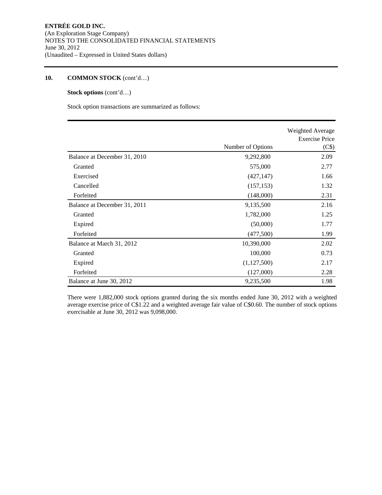## **10. COMMON STOCK** (cont'd…)

## **Stock options** (cont'd…)

Stock option transactions are summarized as follows:

|                              |                   | Weighted Average<br><b>Exercise Price</b> |
|------------------------------|-------------------|-------------------------------------------|
|                              | Number of Options | (C\$)                                     |
| Balance at December 31, 2010 | 9,292,800         | 2.09                                      |
| Granted                      | 575,000           | 2.77                                      |
| Exercised                    | (427, 147)        | 1.66                                      |
| Cancelled                    | (157, 153)        | 1.32                                      |
| Forfeited                    | (148,000)         | 2.31                                      |
| Balance at December 31, 2011 | 9,135,500         | 2.16                                      |
| Granted                      | 1,782,000         | 1.25                                      |
| Expired                      | (50,000)          | 1.77                                      |
| Forfeited                    | (477,500)         | 1.99                                      |
| Balance at March 31, 2012    | 10,390,000        | 2.02                                      |
| Granted                      | 100,000           | 0.73                                      |
| Expired                      | (1,127,500)       | 2.17                                      |
| Forfeited                    | (127,000)         | 2.28                                      |
| Balance at June 30, 2012     | 9,235,500         | 1.98                                      |

There were 1,882,000 stock options granted during the six months ended June 30, 2012 with a weighted average exercise price of C\$1.22 and a weighted average fair value of C\$0.60. The number of stock options exercisable at June 30, 2012 was 9,098,000.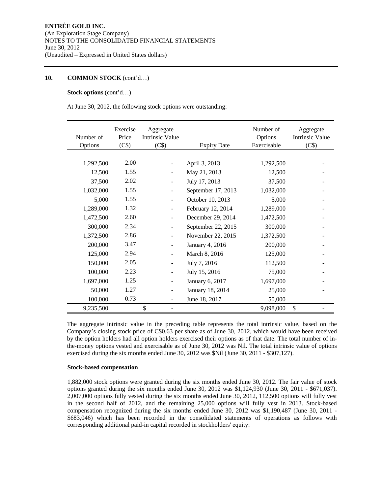## **10. COMMON STOCK** (cont'd…)

## **Stock options** (cont'd…)

At June 30, 2012, the following stock options were outstanding:

| Number of<br>Options | Exercise<br>Price<br>(C\$) | Aggregate<br><b>Intrinsic Value</b><br>(C\$) | <b>Expiry Date</b> | Number of<br>Options<br>Exercisable | Aggregate<br>Intrinsic Value<br>(C\$) |
|----------------------|----------------------------|----------------------------------------------|--------------------|-------------------------------------|---------------------------------------|
|                      |                            |                                              |                    |                                     |                                       |
| 1,292,500            | 2.00                       |                                              | April 3, 2013      | 1,292,500                           |                                       |
| 12,500               | 1.55                       |                                              | May 21, 2013       | 12,500                              |                                       |
| 37,500               | 2.02                       |                                              | July 17, 2013      | 37,500                              |                                       |
| 1,032,000            | 1.55                       |                                              | September 17, 2013 | 1,032,000                           |                                       |
| 5,000                | 1.55                       |                                              | October 10, 2013   | 5,000                               |                                       |
| 1,289,000            | 1.32                       | $\blacksquare$                               | February 12, 2014  | 1,289,000                           |                                       |
| 1,472,500            | 2.60                       |                                              | December 29, 2014  | 1,472,500                           |                                       |
| 300,000              | 2.34                       |                                              | September 22, 2015 | 300,000                             |                                       |
| 1,372,500            | 2.86                       |                                              | November 22, 2015  | 1,372,500                           |                                       |
| 200,000              | 3.47                       |                                              | January 4, 2016    | 200,000                             |                                       |
| 125,000              | 2.94                       |                                              | March 8, 2016      | 125,000                             |                                       |
| 150,000              | 2.05                       |                                              | July 7, 2016       | 112,500                             |                                       |
| 100,000              | 2.23                       |                                              | July 15, 2016      | 75,000                              |                                       |
| 1,697,000            | 1.25                       |                                              | January 6, 2017    | 1,697,000                           |                                       |
| 50,000               | 1.27                       |                                              | January 18, 2014   | 25,000                              |                                       |
| 100,000              | 0.73                       |                                              | June 18, 2017      | 50,000                              |                                       |
| 9,235,500            |                            | \$                                           |                    | 9,098,000                           | \$                                    |

The aggregate intrinsic value in the preceding table represents the total intrinsic value, based on the Company's closing stock price of C\$0.63 per share as of June 30, 2012, which would have been received by the option holders had all option holders exercised their options as of that date. The total number of inthe-money options vested and exercisable as of June 30, 2012 was Nil. The total intrinsic value of options exercised during the six months ended June 30, 2012 was \$Nil (June 30, 2011 - \$307,127).

#### **Stock-based compensation**

1,882,000 stock options were granted during the six months ended June 30, 2012. The fair value of stock options granted during the six months ended June 30, 2012 was \$1,124,930 (June 30, 2011 - \$671,037). 2,007,000 options fully vested during the six months ended June 30, 2012, 112,500 options will fully vest in the second half of 2012, and the remaining 25,000 options will fully vest in 2013. Stock-based compensation recognized during the six months ended June 30, 2012 was \$1,190,487 (June 30, 2011 - \$683,046) which has been recorded in the consolidated statements of operations as follows with corresponding additional paid-in capital recorded in stockholders' equity: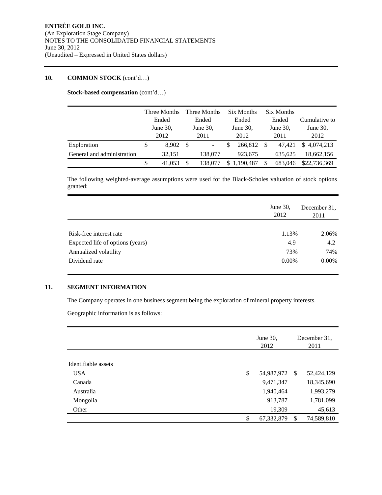## **10. COMMON STOCK** (cont'd…)

**Stock-based compensation** (cont'd…)

|                            |       | Three Months |       | Three Months             |             | Six Months |             | Six Months |               |
|----------------------------|-------|--------------|-------|--------------------------|-------------|------------|-------------|------------|---------------|
|                            | Ended |              | Ended |                          | Ended       |            | Ended       |            | Cumulative to |
|                            |       | June $30$ ,  |       | June $30$ ,              | June $30$ , |            | June $30$ , |            | June $30$ ,   |
|                            |       | 2012         |       | 2011                     |             | 2012       |             | 2011       | 2012          |
| Exploration                | \$    | 8.902        | - \$  | $\overline{\phantom{a}}$ | S           | 266,812    | -S          | 47.421     | \$4,074,213   |
| General and administration |       | 32.151       |       | 138,077                  |             | 923,675    |             | 635.625    | 18,662,156    |
|                            | S     | 41.053       |       | 138,077                  | \$.         | 1,190,487  |             | 683.046    | \$22,736,369  |

The following weighted-average assumptions were used for the Black-Scholes valuation of stock options granted:

|                                  | June 30,<br>2012 | December 31.<br>2011 |  |  |
|----------------------------------|------------------|----------------------|--|--|
|                                  |                  |                      |  |  |
| Risk-free interest rate          | 1.13%            | 2.06%                |  |  |
| Expected life of options (years) | 4.9              | 4.2                  |  |  |
| Annualized volatility            | 73%              | 74%                  |  |  |
| Dividend rate                    | $0.00\%$         | $0.00\%$             |  |  |

## **11. SEGMENT INFORMATION**

The Company operates in one business segment being the exploration of mineral property interests.

Geographic information is as follows:

|                     | June 30,<br>2012 | December 31.<br>2011 |            |  |
|---------------------|------------------|----------------------|------------|--|
|                     |                  |                      |            |  |
| Identifiable assets |                  |                      |            |  |
| <b>USA</b>          | \$<br>54,987,972 | -S                   | 52,424,129 |  |
| Canada              | 9,471,347        |                      | 18,345,690 |  |
| Australia           | 1,940,464        |                      | 1,993,279  |  |
| Mongolia            | 913,787          |                      | 1,781,099  |  |
| Other               | 19,309           |                      | 45,613     |  |
|                     | \$<br>67,332,879 | <sup>\$</sup>        | 74,589,810 |  |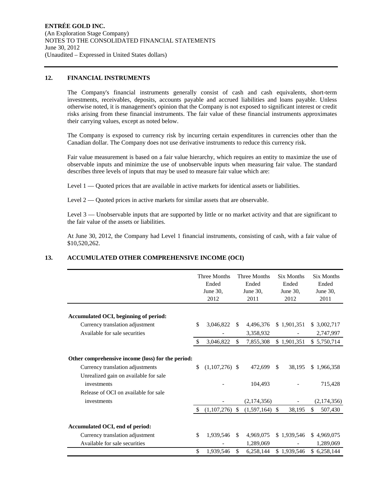#### **12. FINANCIAL INSTRUMENTS**

The Company's financial instruments generally consist of cash and cash equivalents, short-term investments, receivables, deposits, accounts payable and accrued liabilities and loans payable. Unless otherwise noted, it is management's opinion that the Company is not exposed to significant interest or credit risks arising from these financial instruments. The fair value of these financial instruments approximates their carrying values, except as noted below.

The Company is exposed to currency risk by incurring certain expenditures in currencies other than the Canadian dollar. The Company does not use derivative instruments to reduce this currency risk.

Fair value measurement is based on a fair value hierarchy, which requires an entity to maximize the use of observable inputs and minimize the use of unobservable inputs when measuring fair value. The standard describes three levels of inputs that may be used to measure fair value which are:

Level 1 — Quoted prices that are available in active markets for identical assets or liabilities.

Level 2 — Quoted prices in active markets for similar assets that are observable.

Level 3 — Unobservable inputs that are supported by little or no market activity and that are significant to the fair value of the assets or liabilities.

At June 30, 2012, the Company had Level 1 financial instruments, consisting of cash, with a fair value of \$10,520,262.

## **13. ACCUMULATED OTHER COMPREHENSIVE INCOME (OCI)**

|                                                      | <b>Three Months</b><br>Ended<br>June 30,<br>2012 |               | <b>Three Months</b><br>Ended<br>June 30,<br>2011 |               | <b>Six Months</b><br>Ended<br>June 30,<br>2012 | <b>Six Months</b><br>Ended<br>June 30,<br>2011 |
|------------------------------------------------------|--------------------------------------------------|---------------|--------------------------------------------------|---------------|------------------------------------------------|------------------------------------------------|
|                                                      |                                                  |               |                                                  |               |                                                |                                                |
| Accumulated OCI, beginning of period:                | \$                                               | <sup>\$</sup> |                                                  |               |                                                |                                                |
| Currency translation adjustment                      | 3,046,822                                        |               | 4,496,376                                        |               | \$1,901,351                                    | \$ 3,002,717                                   |
| Available for sale securities                        |                                                  |               | 3,358,932                                        |               |                                                | 2,747,997                                      |
|                                                      | \$<br>3,046,822                                  | \$            | 7,855,308                                        |               | \$1,901,351                                    | \$5,750,714                                    |
| Other comprehensive income (loss) for the period:    |                                                  |               |                                                  |               |                                                |                                                |
| Currency translation adjustments                     | \$<br>$(1,107,276)$ \$                           |               | 472,699                                          | <sup>\$</sup> | 38,195                                         | \$1,966,358                                    |
| Unrealized gain on available for sale<br>investments |                                                  |               | 104,493                                          |               |                                                | 715,428                                        |
| Release of OCI on available for sale                 |                                                  |               |                                                  |               |                                                |                                                |
| investments                                          |                                                  |               | (2,174,356)                                      |               |                                                | (2,174,356)                                    |
|                                                      | \$<br>$(1,107,276)$ \$                           |               | $(1,597,164)$ \$                                 |               | 38,195                                         | \$<br>507,430                                  |
| Accumulated OCI, end of period:                      |                                                  |               |                                                  |               |                                                |                                                |
| Currency translation adjustment                      | \$<br>1,939,546                                  | <sup>\$</sup> | 4,969,075                                        |               | \$1,939,546                                    | \$4,969,075                                    |
| Available for sale securities                        |                                                  |               | 1,289,069                                        |               |                                                | 1,289,069                                      |
|                                                      | \$<br>1,939,546                                  | \$            | 6,258,144                                        |               | \$1,939,546                                    | \$6,258,144                                    |